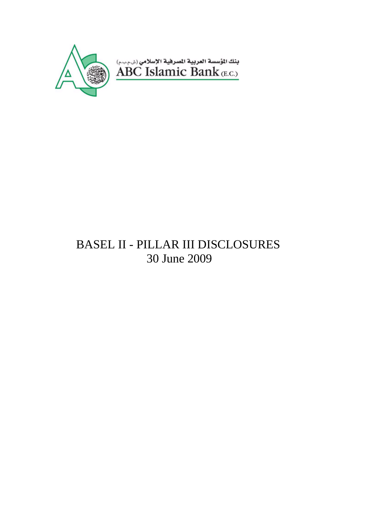

# BASEL II - PILLAR III DISCLOSURES 30 June 2009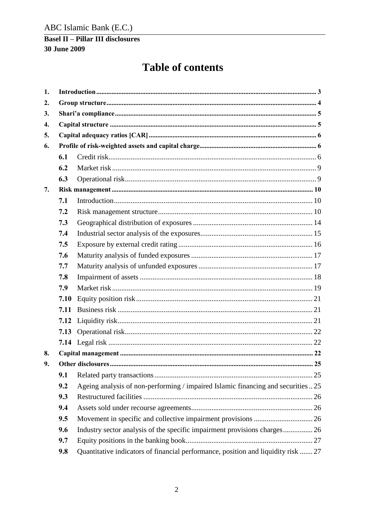# ABC Islamic Bank (E.C.)

### **Basel II - Pillar III disclosures** 30 June 2009

# **Table of contents**

| 1. |      |                                                                                   |  |
|----|------|-----------------------------------------------------------------------------------|--|
| 2. |      |                                                                                   |  |
| 3. |      |                                                                                   |  |
| 4. |      |                                                                                   |  |
| 5. |      |                                                                                   |  |
| 6. |      |                                                                                   |  |
|    | 6.1  |                                                                                   |  |
|    | 6.2  |                                                                                   |  |
|    | 6.3  |                                                                                   |  |
| 7. |      |                                                                                   |  |
|    | 7.1  |                                                                                   |  |
|    | 7.2  |                                                                                   |  |
|    | 7.3  |                                                                                   |  |
|    | 7.4  |                                                                                   |  |
|    | 7.5  |                                                                                   |  |
|    | 7.6  |                                                                                   |  |
|    | 7.7  |                                                                                   |  |
|    | 7.8  |                                                                                   |  |
|    | 7.9  |                                                                                   |  |
|    | 7.10 |                                                                                   |  |
|    | 7.11 |                                                                                   |  |
|    | 7.12 |                                                                                   |  |
|    | 7.13 |                                                                                   |  |
|    |      |                                                                                   |  |
| 8. |      |                                                                                   |  |
| 9. |      |                                                                                   |  |
|    | 9.1  |                                                                                   |  |
|    | 9.2  | Ageing analysis of non-performing / impaired Islamic financing and securities  25 |  |
|    | 9.3  |                                                                                   |  |
|    | 9.4  |                                                                                   |  |
|    | 9.5  |                                                                                   |  |
|    | 9.6  | Industry sector analysis of the specific impairment provisions charges 26         |  |
|    | 9.7  |                                                                                   |  |
|    | 9.8  | Quantitative indicators of financial performance, position and liquidity risk  27 |  |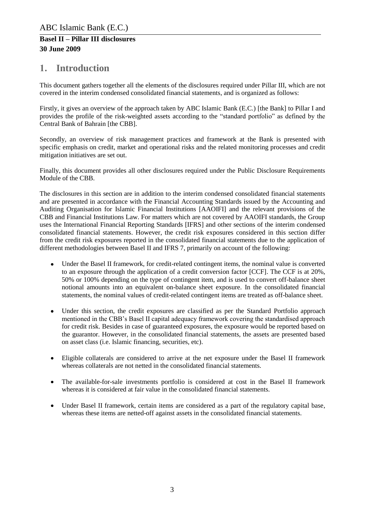# <span id="page-2-0"></span>**1. Introduction**

This document gathers together all the elements of the disclosures required under Pillar III, which are not covered in the interim condensed consolidated financial statements, and is organized as follows:

Firstly, it gives an overview of the approach taken by ABC Islamic Bank (E.C.) [the Bank] to Pillar I and provides the profile of the risk-weighted assets according to the "standard portfolio" as defined by the Central Bank of Bahrain [the CBB].

Secondly, an overview of risk management practices and framework at the Bank is presented with specific emphasis on credit, market and operational risks and the related monitoring processes and credit mitigation initiatives are set out.

Finally, this document provides all other disclosures required under the Public Disclosure Requirements Module of the CBB.

The disclosures in this section are in addition to the interim condensed consolidated financial statements and are presented in accordance with the Financial Accounting Standards issued by the Accounting and Auditing Organisation for Islamic Financial Institutions [AAOIFI] and the relevant provisions of the CBB and Financial Institutions Law. For matters which are not covered by AAOIFI standards, the Group uses the International Financial Reporting Standards [IFRS] and other sections of the interim condensed consolidated financial statements. However, the credit risk exposures considered in this section differ from the credit risk exposures reported in the consolidated financial statements due to the application of different methodologies between Basel II and IFRS 7, primarily on account of the following:

- $\bullet$ Under the Basel II framework, for credit-related contingent items, the nominal value is converted to an exposure through the application of a credit conversion factor [CCF]. The CCF is at 20%, 50% or 100% depending on the type of contingent item, and is used to convert off-balance sheet notional amounts into an equivalent on-balance sheet exposure. In the consolidated financial statements, the nominal values of credit-related contingent items are treated as off-balance sheet.
- Under this section, the credit exposures are classified as per the Standard Portfolio approach  $\bullet$ mentioned in the CBB's Basel II capital adequacy framework covering the standardised approach for credit risk. Besides in case of guaranteed exposures, the exposure would be reported based on the guarantor. However, in the consolidated financial statements, the assets are presented based on asset class (i.e. Islamic financing, securities, etc).
- Eligible collaterals are considered to arrive at the net exposure under the Basel II framework  $\bullet$ whereas collaterals are not netted in the consolidated financial statements.
- The available-for-sale investments portfolio is considered at cost in the Basel II framework  $\bullet$ whereas it is considered at fair value in the consolidated financial statements.
- Under Basel II framework, certain items are considered as a part of the regulatory capital base, whereas these items are netted-off against assets in the consolidated financial statements.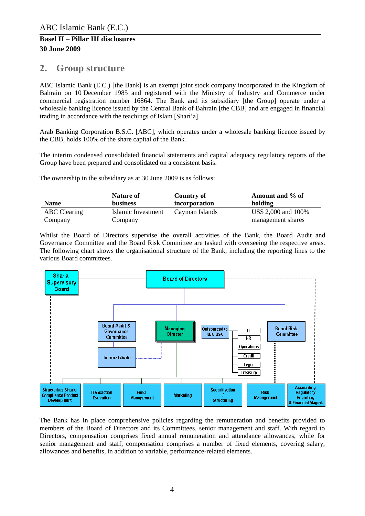### <span id="page-3-0"></span>**2. Group structure**

ABC Islamic Bank (E.C.) [the Bank] is an exempt joint stock company incorporated in the Kingdom of Bahrain on 10 December 1985 and registered with the Ministry of Industry and Commerce under commercial registration number 16864. The Bank and its subsidiary [the Group] operate under a wholesale banking licence issued by the Central Bank of Bahrain [the CBB] and are engaged in financial trading in accordance with the teachings of Islam [Shari'a].

Arab Banking Corporation B.S.C. [ABC], which operates under a wholesale banking licence issued by the CBB, holds 100% of the share capital of the Bank.

The interim condensed consolidated financial statements and capital adequacy regulatory reports of the Group have been prepared and consolidated on a consistent basis.

The ownership in the subsidiary as at 30 June 2009 is as follows:

| <b>Name</b>         | Nature of<br><b>business</b> | Country of<br>incorporation | Amount and % of<br>holding |
|---------------------|------------------------------|-----------------------------|----------------------------|
|                     |                              |                             |                            |
| <b>ABC</b> Clearing | Islamic Investment           | Cayman Islands              | US\$ 2,000 and 100%        |
| Company             | Company                      |                             | management shares          |

Whilst the Board of Directors supervise the overall activities of the Bank, the Board Audit and Governance Committee and the Board Risk Committee are tasked with overseeing the respective areas. The following chart shows the organisational structure of the Bank, including the reporting lines to the various Board committees.



The Bank has in place comprehensive policies regarding the remuneration and benefits provided to members of the Board of Directors and its Committees, senior management and staff. With regard to Directors, compensation comprises fixed annual remuneration and attendance allowances, while for senior management and staff, compensation comprises a number of fixed elements, covering salary, allowances and benefits, in addition to variable, performance-related elements.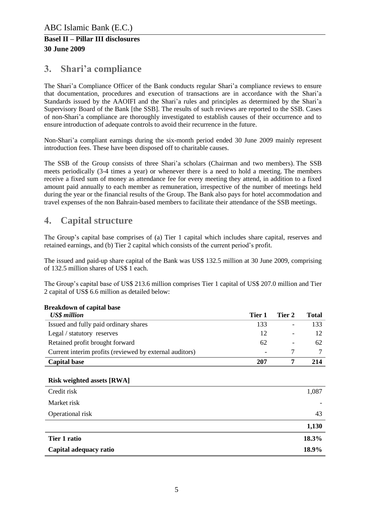# <span id="page-4-0"></span>**3. Shari'a compliance**

The Shari'a Compliance Officer of the Bank conducts regular Shari'a compliance reviews to ensure that documentation, procedures and execution of transactions are in accordance with the Shari'a Standards issued by the AAOIFI and the Shari'a rules and principles as determined by the Shari'a Supervisory Board of the Bank [the SSB]. The results of such reviews are reported to the SSB. Cases of non-Shari'a compliance are thoroughly investigated to establish causes of their occurrence and to ensure introduction of adequate controls to avoid their recurrence in the future.

Non-Shari'a compliant earnings during the six-month period ended 30 June 2009 mainly represent introduction fees. These have been disposed off to charitable causes.

The SSB of the Group consists of three Shari'a scholars (Chairman and two members). The SSB meets periodically (3-4 times a year) or whenever there is a need to hold a meeting. The members receive a fixed sum of money as attendance fee for every meeting they attend, in addition to a fixed amount paid annually to each member as remuneration, irrespective of the number of meetings held during the year or the financial results of the Group. The Bank also pays for hotel accommodation and travel expenses of the non Bahrain-based members to facilitate their attendance of the SSB meetings.

# <span id="page-4-1"></span>**4. Capital structure**

The Group's capital base comprises of (a) Tier 1 capital which includes share capital, reserves and retained earnings, and (b) Tier 2 capital which consists of the current period's profit.

The issued and paid-up share capital of the Bank was US\$ 132.5 million at 30 June 2009, comprising of 132.5 million shares of US\$ 1 each.

The Group's capital base of US\$ 213.6 million comprises Tier 1 capital of US\$ 207.0 million and Tier 2 capital of US\$ 6.6 million as detailed below:

| <b>US\$</b> million                                     | Tier 1 | Tier 2                   | <b>Total</b> |
|---------------------------------------------------------|--------|--------------------------|--------------|
| Issued and fully paid ordinary shares                   | 133    | ۰                        | 133          |
| Legal / statutory reserves                              | 12     | -                        |              |
| Retained profit brought forward                         | 62     | $\overline{\phantom{a}}$ | 62           |
| Current interim profits (reviewed by external auditors) |        |                          |              |
| <b>Capital base</b>                                     | 207    |                          | 214          |

### **Breakdown of capital base**

#### **Risk weighted assets [RWA]**

| Credit risk            | 1,087 |
|------------------------|-------|
| Market risk            |       |
| Operational risk       | 43    |
|                        | 1,130 |
| Tier 1 ratio           | 18.3% |
| Capital adequacy ratio | 18.9% |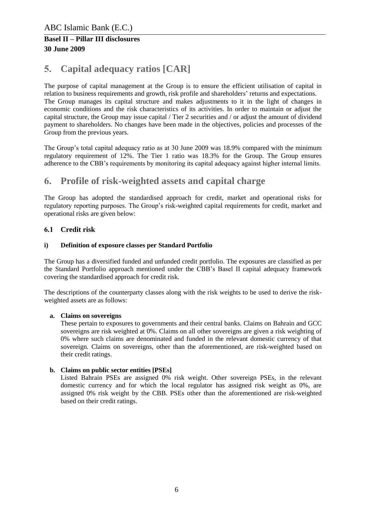# <span id="page-5-0"></span>**5. Capital adequacy ratios [CAR]**

The purpose of capital management at the Group is to ensure the efficient utilisation of capital in relation to business requirements and growth, risk profile and shareholders' returns and expectations. The Group manages its capital structure and makes adjustments to it in the light of changes in economic conditions and the risk characteristics of its activities. In order to maintain or adjust the capital structure, the Group may issue capital / Tier 2 securities and / or adjust the amount of dividend payment to shareholders. No changes have been made in the objectives, policies and processes of the Group from the previous years.

The Group's total capital adequacy ratio as at 30 June 2009 was 18.9% compared with the minimum regulatory requirement of 12%. The Tier 1 ratio was 18.3% for the Group. The Group ensures adherence to the CBB's requirements by monitoring its capital adequacy against higher internal limits.

### <span id="page-5-1"></span>**6. Profile of risk-weighted assets and capital charge**

The Group has adopted the standardised approach for credit, market and operational risks for regulatory reporting purposes. The Group's risk-weighted capital requirements for credit, market and operational risks are given below:

### <span id="page-5-2"></span>**6.1 Credit risk**

#### **i) Definition of exposure classes per Standard Portfolio**

The Group has a diversified funded and unfunded credit portfolio. The exposures are classified as per the Standard Portfolio approach mentioned under the CBB's Basel II capital adequacy framework covering the standardised approach for credit risk.

The descriptions of the counterparty classes along with the risk weights to be used to derive the riskweighted assets are as follows:

#### **a. Claims on sovereigns**

These pertain to exposures to governments and their central banks. Claims on Bahrain and GCC sovereigns are risk weighted at 0%. Claims on all other sovereigns are given a risk weighting of 0% where such claims are denominated and funded in the relevant domestic currency of that sovereign. Claims on sovereigns, other than the aforementioned, are risk-weighted based on their credit ratings.

#### **b. Claims on public sector entities [PSEs]**

Listed Bahrain PSEs are assigned 0% risk weight. Other sovereign PSEs, in the relevant domestic currency and for which the local regulator has assigned risk weight as 0%, are assigned 0% risk weight by the CBB. PSEs other than the aforementioned are risk-weighted based on their credit ratings.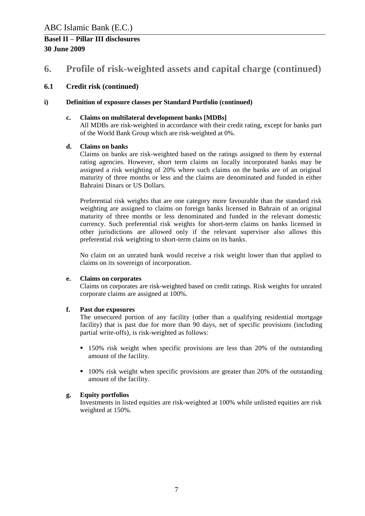### **6. Profile of risk-weighted assets and capital charge (continued)**

#### **6.1 Credit risk (continued)**

#### **i) Definition of exposure classes per Standard Portfolio (continued)**

#### **c. Claims on multilateral development banks [MDBs]**

All MDBs are risk-weighted in accordance with their credit rating, except for banks part of the World Bank Group which are risk-weighted at 0%.

#### **d. Claims on banks**

Claims on banks are risk-weighted based on the ratings assigned to them by external rating agencies. However, short term claims on locally incorporated banks may be assigned a risk weighting of 20% where such claims on the banks are of an original maturity of three months or less and the claims are denominated and funded in either Bahraini Dinars or US Dollars.

Preferential risk weights that are one category more favourable than the standard risk weighting are assigned to claims on foreign banks licensed in Bahrain of an original maturity of three months or less denominated and funded in the relevant domestic currency. Such preferential risk weights for short-term claims on banks licensed in other jurisdictions are allowed only if the relevant supervisor also allows this preferential risk weighting to short-term claims on its banks.

No claim on an unrated bank would receive a risk weight lower than that applied to claims on its sovereign of incorporation.

#### **e. Claims on corporates**

Claims on corporates are risk-weighted based on credit ratings. Risk weights for unrated corporate claims are assigned at 100%.

#### **f. Past due exposures**

The unsecured portion of any facility (other than a qualifying residential mortgage facility) that is past due for more than 90 days, net of specific provisions (including partial write-offs), is risk-weighted as follows:

- 150% risk weight when specific provisions are less than 20% of the outstanding amount of the facility.
- <sup>100%</sup> risk weight when specific provisions are greater than 20% of the outstanding amount of the facility.

#### **g. Equity portfolios**

Investments in listed equities are risk-weighted at 100% while unlisted equities are risk weighted at 150%.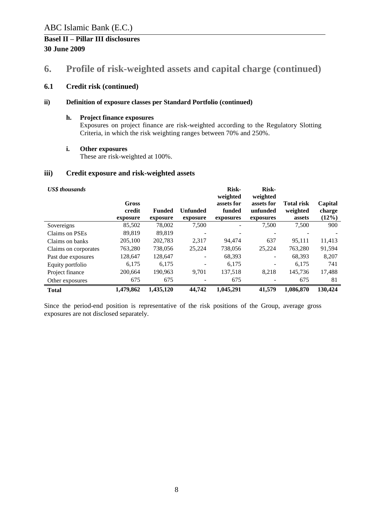### **6. Profile of risk-weighted assets and capital charge (continued)**

### **6.1 Credit risk (continued)**

#### **ii) Definition of exposure classes per Standard Portfolio (continued)**

#### **h. Project finance exposures**

Exposures on project finance are risk-weighted according to the Regulatory Slotting Criteria, in which the risk weighting ranges between 70% and 250%.

#### **i. Other exposures**

These are risk-weighted at 100%.

#### **iii) Credit exposure and risk-weighted assets**

| <b>US\$</b> thousands | Gross<br>credit<br>exposure | <b>Funded</b><br>exposure | <b>Unfunded</b><br>exposure | Risk-<br>weighted<br>assets for<br>funded<br>exposures | <b>Risk-</b><br>weighted<br>assets for<br>unfunded<br>exposures | <b>Total risk</b><br>weighted<br>assets | Capital<br>charge<br>(12%) |
|-----------------------|-----------------------------|---------------------------|-----------------------------|--------------------------------------------------------|-----------------------------------------------------------------|-----------------------------------------|----------------------------|
| Sovereigns            | 85,502                      | 78,002                    | 7,500                       |                                                        | 7,500                                                           | 7,500                                   | 900                        |
| Claims on PSEs        | 89,819                      | 89,819                    |                             |                                                        |                                                                 |                                         |                            |
| Claims on banks       | 205,100                     | 202,783                   | 2,317                       | 94.474                                                 | 637                                                             | 95,111                                  | 11,413                     |
| Claims on corporates  | 763,280                     | 738,056                   | 25,224                      | 738,056                                                | 25,224                                                          | 763,280                                 | 91,594                     |
| Past due exposures    | 128,647                     | 128,647                   |                             | 68,393                                                 | $\overline{\phantom{a}}$                                        | 68,393                                  | 8,207                      |
| Equity portfolio      | 6,175                       | 6,175                     |                             | 6,175                                                  | $\overline{a}$                                                  | 6,175                                   | 741                        |
| Project finance       | 200.664                     | 190,963                   | 9,701                       | 137,518                                                | 8.218                                                           | 145.736                                 | 17,488                     |
| Other exposures       | 675                         | 675                       |                             | 675                                                    |                                                                 | 675                                     | 81                         |
| <b>Total</b>          | 1,479,862                   | 1,435,120                 | 44,742                      | 1,045,291                                              | 41,579                                                          | 1,086,870                               | 130,424                    |

Since the period-end position is representative of the risk positions of the Group, average gross exposures are not disclosed separately.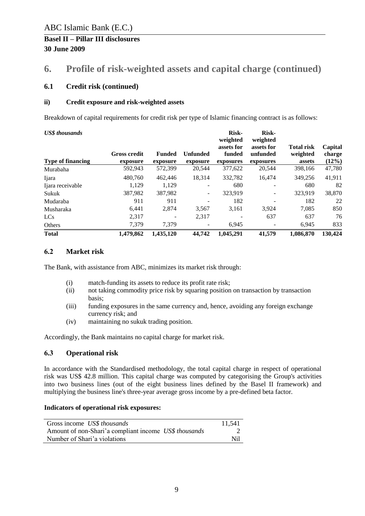### **6. Profile of risk-weighted assets and capital charge (continued)**

#### **6.1 Credit risk (continued)**

#### **ii) Credit exposure and risk-weighted assets**

Breakdown of capital requirements for credit risk per type of Islamic financing contract is as follows:

| <b>US\$</b> thousands    |                                 | <b>Risk-</b><br><b>Risk-</b><br>weighted<br>weighted |                             |                                   |                                     |                                         |                               |
|--------------------------|---------------------------------|------------------------------------------------------|-----------------------------|-----------------------------------|-------------------------------------|-----------------------------------------|-------------------------------|
| <b>Type of financing</b> | <b>Gross credit</b><br>exposure | <b>Funded</b><br>exposure                            | <b>Unfunded</b><br>exposure | assets for<br>funded<br>exposures | assets for<br>unfunded<br>exposures | <b>Total risk</b><br>weighted<br>assets | Capital<br>charge<br>$(12\%)$ |
| Murabaha                 | 592,943                         | 572,399                                              | 20,544                      | 377,622                           | 20,544                              | 398,166                                 | 47,780                        |
| Ijara                    | 480,760                         | 462,446                                              | 18,314                      | 332.782                           | 16.474                              | 349,256                                 | 41,911                        |
| Ijara receivable         | 1.129                           | 1.129                                                |                             | 680                               |                                     | 680                                     | 82                            |
| Sukuk                    | 387,982                         | 387,982                                              | Ξ.                          | 323.919                           |                                     | 323.919                                 | 38,870                        |
| Mudaraba                 | 911                             | 911                                                  |                             | 182                               |                                     | 182                                     | 22                            |
| Musharaka                | 6,441                           | 2,874                                                | 3,567                       | 3,161                             | 3.924                               | 7,085                                   | 850                           |
| LCs                      | 2,317                           |                                                      | 2,317                       |                                   | 637                                 | 637                                     | 76                            |
| Others                   | 7,379                           | 7,379                                                |                             | 6,945                             |                                     | 6,945                                   | 833                           |
| <b>Total</b>             | 1,479,862                       | 1,435,120                                            | 44,742                      | 1,045,291                         | 41,579                              | 1,086,870                               | 130,424                       |

#### <span id="page-8-0"></span>**6.2 Market risk**

The Bank, with assistance from ABC, minimizes its market risk through:

- (i) match-funding its assets to reduce its profit rate risk;
- (ii) not taking commodity price risk by squaring position on transaction by transaction basis;
- (iii) funding exposures in the same currency and, hence, avoiding any foreign exchange currency risk; and
- (iv) maintaining no sukuk trading position.

Accordingly, the Bank maintains no capital charge for market risk.

### <span id="page-8-1"></span>**6.3 Operational risk**

In accordance with the Standardised methodology, the total capital charge in respect of operational risk was US\$ 42.8 million. This capital charge was computed by categorising the Group's activities into two business lines (out of the eight business lines defined by the Basel II framework) and multiplying the business line's three-year average gross income by a pre-defined beta factor.

#### **Indicators of operational risk exposures:**

| Gross income US\$ thousands                           | 11.541 |
|-------------------------------------------------------|--------|
| Amount of non-Shari'a compliant income US\$ thousands |        |
| Number of Shari'a violations                          | Nil    |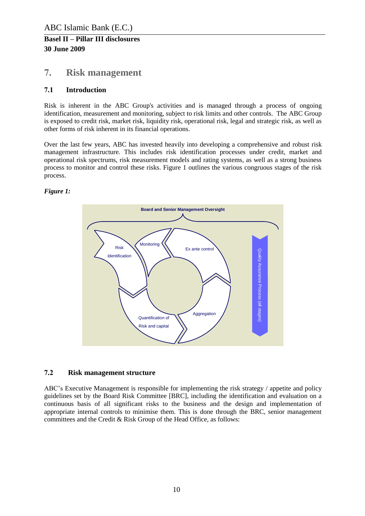### <span id="page-9-0"></span>**7. Risk management**

### <span id="page-9-1"></span>**7.1 Introduction**

Risk is inherent in the ABC Group's activities and is managed through a process of ongoing identification, measurement and monitoring, subject to risk limits and other controls. The ABC Group is exposed to credit risk, market risk, liquidity risk, operational risk, legal and strategic risk, as well as other forms of risk inherent in its financial operations.

Over the last few years, ABC has invested heavily into developing a comprehensive and robust risk management infrastructure. This includes risk identification processes under credit, market and operational risk spectrums, risk measurement models and rating systems, as well as a strong business process to monitor and control these risks. Figure 1 outlines the various congruous stages of the risk process.

### *Figure 1:*



### <span id="page-9-2"></span>**7.2 Risk management structure**

ABC's Executive Management is responsible for implementing the risk strategy / appetite and policy guidelines set by the Board Risk Committee [BRC], including the identification and evaluation on a continuous basis of all significant risks to the business and the design and implementation of appropriate internal controls to minimise them. This is done through the BRC, senior management committees and the Credit & Risk Group of the Head Office, as follows: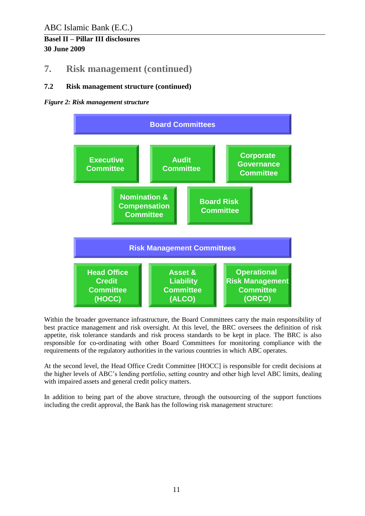### **7. Risk management (continued)**

### **7.2 Risk management structure (continued)**

### *Figure 2: Risk management structure*



Within the broader governance infrastructure, the Board Committees carry the main responsibility of best practice management and risk oversight. At this level, the BRC oversees the definition of risk appetite, risk tolerance standards and risk process standards to be kept in place. The BRC is also responsible for co-ordinating with other Board Committees for monitoring compliance with the requirements of the regulatory authorities in the various countries in which ABC operates.

At the second level, the Head Office Credit Committee [HOCC] is responsible for credit decisions at the higher levels of ABC's lending portfolio, setting country and other high level ABC limits, dealing with impaired assets and general credit policy matters.

In addition to being part of the above structure, through the outsourcing of the support functions including the credit approval, the Bank has the following risk management structure: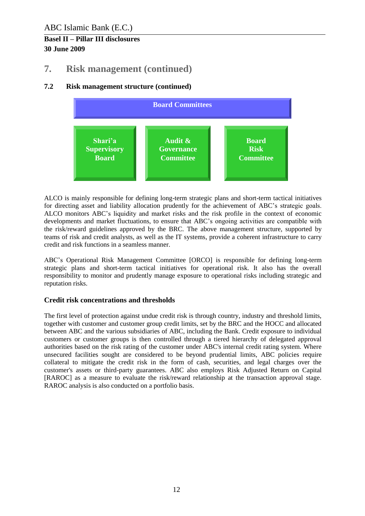### **7. Risk management (continued)**

### **7.2 Risk management structure (continued)**



ALCO is mainly responsible for defining long-term strategic plans and short-term tactical initiatives for directing asset and liability allocation prudently for the achievement of ABC's strategic goals. ALCO monitors ABC's liquidity and market risks and the risk profile in the context of economic developments and market fluctuations, to ensure that ABC's ongoing activities are compatible with the risk/reward guidelines approved by the BRC. The above management structure, supported by teams of risk and credit analysts, as well as the IT systems, provide a coherent infrastructure to carry credit and risk functions in a seamless manner.

ABC's Operational Risk Management Committee [ORCO] is responsible for defining long-term strategic plans and short-term tactical initiatives for operational risk. It also has the overall responsibility to monitor and prudently manage exposure to operational risks including strategic and reputation risks.

### **Credit risk concentrations and thresholds**

The first level of protection against undue credit risk is through country, industry and threshold limits, together with customer and customer group credit limits, set by the BRC and the HOCC and allocated between ABC and the various subsidiaries of ABC, including the Bank. Credit exposure to individual customers or customer groups is then controlled through a tiered hierarchy of delegated approval authorities based on the risk rating of the customer under ABC's internal credit rating system. Where unsecured facilities sought are considered to be beyond prudential limits, ABC policies require collateral to mitigate the credit risk in the form of cash, securities, and legal charges over the customer's assets or third-party guarantees. ABC also employs Risk Adjusted Return on Capital [RAROC] as a measure to evaluate the risk/reward relationship at the transaction approval stage. RAROC analysis is also conducted on a portfolio basis.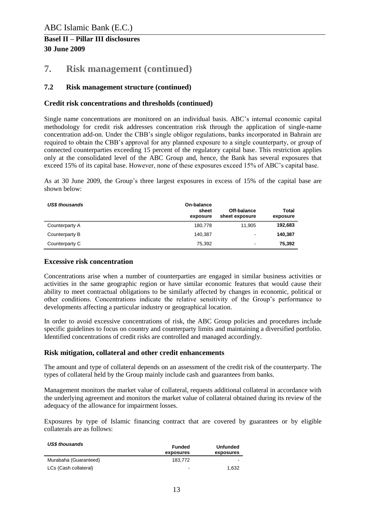### **7. Risk management (continued)**

### **7.2 Risk management structure (continued)**

#### **Credit risk concentrations and thresholds (continued)**

Single name concentrations are monitored on an individual basis. ABC's internal economic capital methodology for credit risk addresses concentration risk through the application of single-name concentration add-on. Under the CBB's single obligor regulations, banks incorporated in Bahrain are required to obtain the CBB's approval for any planned exposure to a single counterparty, or group of connected counterparties exceeding 15 percent of the regulatory capital base. This restriction applies only at the consolidated level of the ABC Group and, hence, the Bank has several exposures that exceed 15% of its capital base. However, none of these exposures exceed 15% of ABC's capital base.

As at 30 June 2009, the Group's three largest exposures in excess of 15% of the capital base are shown below:

| <b>US\$ thousands</b> | On-balance<br>sheet<br>exposure | Off-balance<br>sheet exposure | Total<br>exposure |
|-----------------------|---------------------------------|-------------------------------|-------------------|
| Counterparty A        | 180,778                         | 11.905                        | 192,683           |
| Counterparty B        | 140.387                         | $\overline{\phantom{a}}$      | 140.387           |
| Counterparty C        | 75,392                          | $\blacksquare$                | 75,392            |

#### **Excessive risk concentration**

Concentrations arise when a number of counterparties are engaged in similar business activities or activities in the same geographic region or have similar economic features that would cause their ability to meet contractual obligations to be similarly affected by changes in economic, political or other conditions. Concentrations indicate the relative sensitivity of the Group's performance to developments affecting a particular industry or geographical location.

In order to avoid excessive concentrations of risk, the ABC Group policies and procedures include specific guidelines to focus on country and counterparty limits and maintaining a diversified portfolio. Identified concentrations of credit risks are controlled and managed accordingly.

#### **Risk mitigation, collateral and other credit enhancements**

The amount and type of collateral depends on an assessment of the credit risk of the counterparty. The types of collateral held by the Group mainly include cash and guarantees from banks.

Management monitors the market value of collateral, requests additional collateral in accordance with the underlying agreement and monitors the market value of collateral obtained during its review of the adequacy of the allowance for impairment losses.

Exposures by type of Islamic financing contract that are covered by guarantees or by eligible collaterals are as follows:

| <b>US\$ thousands</b> | <b>Funded</b><br>exposures | Unfunded<br>exposures        |
|-----------------------|----------------------------|------------------------------|
| Murabaha (Guaranteed) | 183.772                    | $\qquad \qquad \blacksquare$ |
| LCs (Cash collateral) | ۰                          | 1.632                        |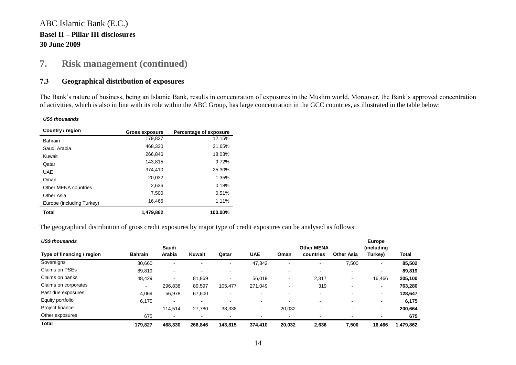### ABC Islamic Bank (E.C.)

### **Basel II – Pillar III disclosures 30 June 2009**

### **7. Risk management (continued)**

### **7.3 Geographical distribution of exposures**

The Bank's nature of business, being an Islamic Bank, results in concentration of exposures in the Muslim world. Moreover, the Bank's approved concentration of activities, which is also in line with its role within the ABC Group, has large concentration in the GCC countries, as illustrated in the table below:

#### *US\$ thousands*

| Country / region          | <b>Gross exposure</b> | Percentage of exposure |
|---------------------------|-----------------------|------------------------|
| <b>Bahrain</b>            | 179,827               | 12.15%                 |
| Saudi Arabia              | 468.330               | 31.65%                 |
| Kuwait                    | 266.846               | 18.03%                 |
| Qatar                     | 143.815               | 9.72%                  |
| <b>UAE</b>                | 374.410               | 25.30%                 |
| Oman                      | 20.032                | 1.35%                  |
| Other MENA countries      | 2.636                 | 0.18%                  |
| Other Asia                | 7.500                 | 0.51%                  |
| Europe (including Turkey) | 16,466                | 1.11%                  |
| Total                     | 1,479,862             | 100.00%                |

<span id="page-13-0"></span>The geographical distribution of gross credit exposures by major type of credit exposures can be analysed as follows:

| <b>US\$ thousands</b>      |                |                          |         |                          |                          |                |                                |                          | <b>Europe</b>          |              |
|----------------------------|----------------|--------------------------|---------|--------------------------|--------------------------|----------------|--------------------------------|--------------------------|------------------------|--------------|
| Type of financing / region | <b>Bahrain</b> | Saudi<br>Arabia          | Kuwait  | Qatar                    | <b>UAE</b>               | Oman           | <b>Other MENA</b><br>countries | <b>Other Asia</b>        | (including)<br>Turkey) | <b>Total</b> |
| Sovereigns                 | 30,660         | $\overline{\phantom{a}}$ |         |                          | 47,342                   |                | ۰                              | 7,500                    | $\blacksquare$         | 85,502       |
| Claims on PSEs             | 89,819         | $\blacksquare$           |         |                          |                          |                |                                |                          |                        | 89,819       |
| Claims on banks            | 48,429         | $\sim$                   | 81.869  | $\blacksquare$           | 56,019                   | $\blacksquare$ | 2,317                          | $\overline{\phantom{0}}$ | 16,466                 | 205,100      |
| Claims on corporates       | $\sim$         | 296,838                  | 89,597  | 105,477                  | 271,049                  |                | 319                            |                          | -                      | 763,280      |
| Past due exposures         | 4.069          | 56.978                   | 67,600  | $\overline{\phantom{0}}$ | ۰                        |                | $\blacksquare$                 |                          | $\blacksquare$         | 128,647      |
| Equity portfolio           | 6,175          | $\blacksquare$           |         |                          | $\overline{\phantom{0}}$ |                | -                              |                          |                        | 6,175        |
| Project finance            | $\sim$         | 114.514                  | 27.780  | 38,338                   | $\,$ $\,$                | 20,032         | -                              |                          | $\blacksquare$         | 200,664      |
| Other exposures            | 675            | $\overline{\phantom{a}}$ |         |                          |                          |                |                                |                          |                        | 675          |
| <b>Total</b>               | 179,827        | 468.330                  | 266.846 | 143,815                  | 374.410                  | 20,032         | 2,636                          | 7,500                    | 16.466                 | 1,479,862    |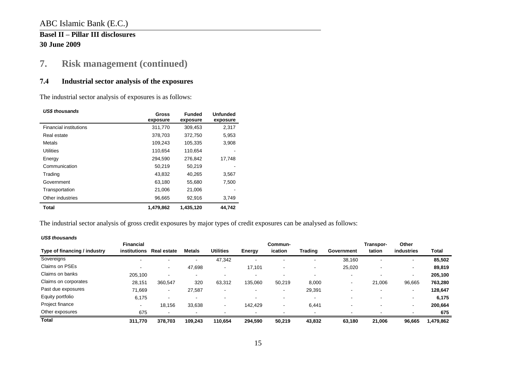### ABC Islamic Bank (E.C.)

### **Basel II – Pillar III disclosures 30 June 2009**

# **7. Risk management (continued)**

### **7.4 Industrial sector analysis of the exposures**

The industrial sector analysis of exposures is as follows:

| <b>US\$ thousands</b>         | <b>Gross</b><br>exposure | <b>Funded</b><br>exposure | <b>Unfunded</b><br>exposure |
|-------------------------------|--------------------------|---------------------------|-----------------------------|
| <b>Financial institutions</b> | 311,770                  | 309,453                   | 2,317                       |
| Real estate                   | 378,703                  | 372,750                   | 5,953                       |
| Metals                        | 109,243                  | 105,335                   | 3,908                       |
| <b>Utilities</b>              | 110,654                  | 110,654                   |                             |
| Energy                        | 294,590                  | 276,842                   | 17,748                      |
| Communication                 | 50,219                   | 50,219                    |                             |
| Trading                       | 43,832                   | 40,265                    | 3,567                       |
| Government                    | 63,180                   | 55,680                    | 7,500                       |
| Transportation                | 21,006                   | 21,006                    |                             |
| Other industries              | 96,665                   | 92,916                    | 3,749                       |
| Total                         | 1,479,862                | 1.435.120                 | 44.742                      |

The industrial sector analysis of gross credit exposures by major types of credit exposures can be analysed as follows:

<span id="page-14-0"></span>

| <b>US\$ thousands</b>        |                                         |                    |               |                          |                          |                          |                |                          |                     |                          |           |
|------------------------------|-----------------------------------------|--------------------|---------------|--------------------------|--------------------------|--------------------------|----------------|--------------------------|---------------------|--------------------------|-----------|
| Type of financing / industry | <b>Financial</b><br><i>institutions</i> | <b>Real estate</b> | <b>Metals</b> | <b>Utilities</b>         | Energy                   | Commun-<br>ication       | <b>Trading</b> | Government               | Transpor-<br>tation | Other<br>industries      | Total     |
| Sovereigns                   | ۰                                       | $\sim$             | $\sim$        | 47,342                   | $\overline{\phantom{a}}$ | ۰                        |                | 38,160                   |                     | $\overline{\phantom{a}}$ | 85,502    |
| Claims on PSEs               | ۰                                       | $\sim$             | 47,698        | $\blacksquare$           | 17,101                   | $\overline{\phantom{a}}$ |                | 25,020                   |                     | $\sim$                   | 89,819    |
| Claims on banks              | 205.100                                 | $\sim$             | $\sim$        | $\overline{\phantom{0}}$ | . .                      |                          |                | $\overline{\phantom{a}}$ |                     | $\,$ $\,$                | 205,100   |
| Claims on corporates         | 28,151                                  | 360,547            | 320           | 63,312                   | 135,060                  | 50,219                   | 8,000          | $\overline{\phantom{a}}$ | 21,006              | 96,665                   | 763,280   |
| Past due exposures           | 71,669                                  | $\sim$             | 27,587        | $\overline{\phantom{0}}$ |                          | $\,$                     | 29,391         | $\overline{\phantom{0}}$ |                     | $\overline{\phantom{a}}$ | 128,647   |
| Equity portfolio             | 6,175                                   | $\sim$             | -             | $\overline{\phantom{0}}$ |                          |                          |                |                          |                     | $\overline{\phantom{a}}$ | 6,175     |
| Project finance              | ۰                                       | 18,156             | 33,638        | $\,$                     | 142,429                  | $\overline{\phantom{a}}$ | 6,441          |                          |                     | $\,$ $\,$                | 200,664   |
| Other exposures              | 675                                     |                    | $\sim$        |                          |                          |                          |                |                          |                     |                          | 675       |
| <b>Total</b>                 | 311,770                                 | 378.703            | 109.243       | 110.654                  | 294,590                  | 50.219                   | 43,832         | 63,180                   | 21,006              | 96.665                   | 1,479,862 |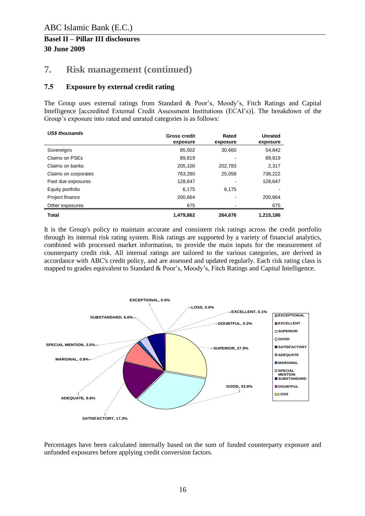### **7. Risk management (continued)**

### <span id="page-15-0"></span>**7.5 Exposure by external credit rating**

The Group uses external ratings from Standard & Poor's, Moody's, Fitch Ratings and Capital Intelligence [accredited External Credit Assessment Institutions (ECAI's)]. The breakdown of the Group's exposure into rated and unrated categories is as follows:

| <b>USS thousands</b> | <b>Gross credit</b><br>exposure | Rated<br>exposure | <b>Unrated</b><br>exposure |
|----------------------|---------------------------------|-------------------|----------------------------|
| Sovereigns           | 85,502                          | 30,660            | 54,842                     |
| Claims on PSEs       | 89,819                          |                   | 89,819                     |
| Claims on banks      | 205,100                         | 202,783           | 2,317                      |
| Claims on corporates | 763,280                         | 25.058            | 738,222                    |
| Past due exposures   | 128,647                         |                   | 128.647                    |
| Equity portfolio     | 6.175                           | 6,175             |                            |
| Project finance      | 200,664                         |                   | 200,664                    |
| Other exposures      | 675                             |                   | 675                        |
| <b>Total</b>         | 1,479,862                       | 264,676           | 1,215,186                  |

It is the Group's policy to maintain accurate and consistent risk ratings across the credit portfolio through its internal risk rating system. Risk ratings are supported by a variety of financial analytics, combined with processed market information, to provide the main inputs for the measurement of counterparty credit risk. All internal ratings are tailored to the various categories, are derived in accordance with ABC's credit policy, and are assessed and updated regularly. Each risk rating class is mapped to grades equivalent to Standard & Poor's, Moody's, Fitch Ratings and Capital Intelligence.



Percentages have been calculated internally based on the sum of funded counterparty exposure and unfunded exposures before applying credit conversion factors.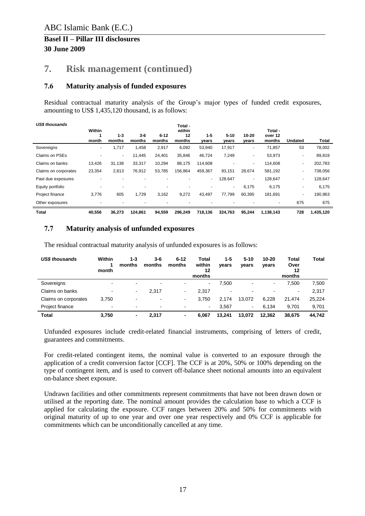### **7. Risk management (continued)**

#### <span id="page-16-0"></span>**7.6 Maturity analysis of funded exposures**

Residual contractual maturity analysis of the Group's major types of funded credit exposures, amounting to US\$ 1,435,120 thousand, is as follows:

| <b>US\$</b> thousands | Within |                   |                   |                          | Total -<br>within |                  |                   |                    | Total -           |                          |           |
|-----------------------|--------|-------------------|-------------------|--------------------------|-------------------|------------------|-------------------|--------------------|-------------------|--------------------------|-----------|
|                       | month  | $1 - 3$<br>months | $3 - 6$<br>months | $6 - 12$<br>months       | 12<br>months      | $1 - 5$<br>years | $5 - 10$<br>years | $10 - 20$<br>vears | over 12<br>months | <b>Undated</b>           | Total     |
| Sovereigns            | ٠      | 1,717             | 1,458             | 2,917                    | 6,092             | 53,940           | 17,917            | ٠                  | 71,857            | 53                       | 78,002    |
| Claims on PSEs        | ٠      | ٠                 | 11,445            | 24,401                   | 35,846            | 46,724           | 7,249             | ٠                  | 53,973            | ۰                        | 89,819    |
| Claims on banks       | 13,426 | 31,138            | 33,317            | 10,294                   | 88,175            | 114,608          |                   | $\blacksquare$     | 114,608           | ٠                        | 202,783   |
| Claims on corporates  | 23,354 | 2,813             | 76,912            | 53,785                   | 156,864           | 459.367          | 93,151            | 28,674             | 581,192           | ٠                        | 738,056   |
| Past due exposures    |        |                   |                   |                          |                   | $\sim$           | 128,647           | $\blacksquare$     | 128,647           | ٠                        | 128,647   |
| Equity portfolio      | ٠      |                   |                   | $\overline{\phantom{0}}$ |                   | ٠                | ٠                 | 6,175              | 6,175             | $\overline{\phantom{a}}$ | 6,175     |
| Project finance       | 3,776  | 605               | 1,729             | 3,162                    | 9,272             | 43,497           | 77,799            | 60,395             | 181,691           | ٠                        | 190,963   |
| Other exposures       |        |                   |                   |                          |                   |                  |                   |                    | $\blacksquare$    | 675                      | 675       |
| <b>Total</b>          | 40,556 | 36,273            | 124,861           | 94,559                   | 296,249           | 718,136          | 324,763           | 95,244             | 1,138,143         | 728                      | 1,435,120 |

#### <span id="page-16-1"></span>**7.7 Maturity analysis of unfunded exposures**

| <b>US\$ thousands</b> | Within<br>month | $1 - 3$<br>months        | $3-6$<br>months | $6 - 12$<br>months | Total<br>within<br>12<br>months | 1-5<br>years | $5 - 10$<br>years | 10-20<br>years | Total<br>Over<br>12<br>months | <b>Total</b> |
|-----------------------|-----------------|--------------------------|-----------------|--------------------|---------------------------------|--------------|-------------------|----------------|-------------------------------|--------------|
| Sovereigns            |                 | $\overline{\phantom{0}}$ | $\blacksquare$  |                    | ۰                               | 7,500        |                   | ۰.             | 7.500                         | 7,500        |
| Claims on banks       | $\,$            | $\sim$                   | 2.317           |                    | 2.317                           |              |                   |                | $\blacksquare$                | 2,317        |
| Claims on corporates  | 3,750           | -                        | $\blacksquare$  | $\blacksquare$     | 3,750                           | 2.174        | 13.072            | 6,228          | 21.474                        | 25,224       |
| Project finance       | $\,$            | -                        | $\,$            |                    | ٠                               | 3,567        | ۰.                | 6.134          | 9.701                         | 9,701        |
| <b>Total</b>          | 3,750           | ٠                        | 2,317           |                    | 6.067                           | 13.241       | 13,072            | 12,362         | 38,675                        | 44,742       |

The residual contractual maturity analysis of unfunded exposures is as follows:

Unfunded exposures include credit-related financial instruments, comprising of letters of credit, guarantees and commitments.

For credit-related contingent items, the nominal value is converted to an exposure through the application of a credit conversion factor [CCF]. The CCF is at 20%, 50% or 100% depending on the type of contingent item, and is used to convert off-balance sheet notional amounts into an equivalent on-balance sheet exposure.

Undrawn facilities and other commitments represent commitments that have not been drawn down or utilised at the reporting date. The nominal amount provides the calculation base to which a CCF is applied for calculating the exposure. CCF ranges between 20% and 50% for commitments with original maturity of up to one year and over one year respectively and 0% CCF is applicable for commitments which can be unconditionally cancelled at any time.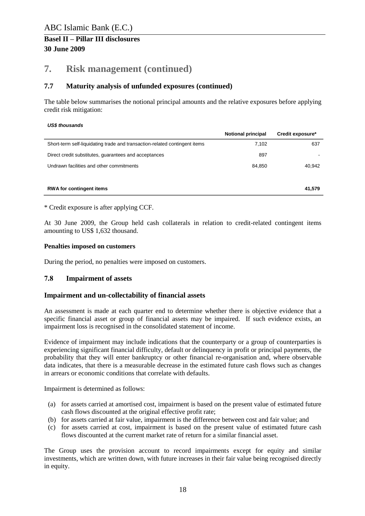### **7. Risk management (continued)**

### **7.7 Maturity analysis of unfunded exposures (continued)**

The table below summarises the notional principal amounts and the relative exposures before applying credit risk mitigation:

#### *US\$ thousands*

|                                                                            | <b>Notional principal</b> | Credit exposure* |
|----------------------------------------------------------------------------|---------------------------|------------------|
| Short-term self-liquidating trade and transaction-related contingent items | 7,102                     | 637              |
| Direct credit substitutes, guarantees and acceptances                      | 897                       |                  |
| Undrawn facilities and other commitments                                   | 84.850                    | 40,942           |
|                                                                            |                           |                  |
| <b>RWA for contingent items</b>                                            |                           | 41.579           |

\* Credit exposure is after applying CCF.

At 30 June 2009, the Group held cash collaterals in relation to credit-related contingent items amounting to US\$ 1,632 thousand.

#### **Penalties imposed on customers**

During the period, no penalties were imposed on customers.

#### <span id="page-17-0"></span>**7.8 Impairment of assets**

#### **Impairment and un-collectability of financial assets**

An assessment is made at each quarter end to determine whether there is objective evidence that a specific financial asset or group of financial assets may be impaired. If such evidence exists, an impairment loss is recognised in the consolidated statement of income.

Evidence of impairment may include indications that the counterparty or a group of counterparties is experiencing significant financial difficulty, default or delinquency in profit or principal payments, the probability that they will enter bankruptcy or other financial re-organisation and, where observable data indicates, that there is a measurable decrease in the estimated future cash flows such as changes in arrears or economic conditions that correlate with defaults.

Impairment is determined as follows:

- (a) for assets carried at amortised cost, impairment is based on the present value of estimated future cash flows discounted at the original effective profit rate;
- (b) for assets carried at fair value, impairment is the difference between cost and fair value; and
- (c) for assets carried at cost, impairment is based on the present value of estimated future cash flows discounted at the current market rate of return for a similar financial asset.

The Group uses the provision account to record impairments except for equity and similar investments, which are written down, with future increases in their fair value being recognised directly in equity.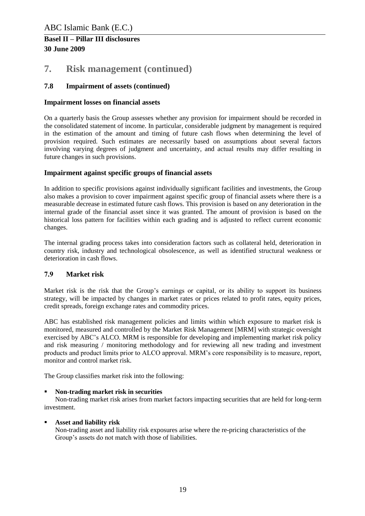### **7. Risk management (continued)**

### **7.8 Impairment of assets (continued)**

### **Impairment losses on financial assets**

On a quarterly basis the Group assesses whether any provision for impairment should be recorded in the consolidated statement of income. In particular, considerable judgment by management is required in the estimation of the amount and timing of future cash flows when determining the level of provision required. Such estimates are necessarily based on assumptions about several factors involving varying degrees of judgment and uncertainty, and actual results may differ resulting in future changes in such provisions.

#### **Impairment against specific groups of financial assets**

In addition to specific provisions against individually significant facilities and investments, the Group also makes a provision to cover impairment against specific group of financial assets where there is a measurable decrease in estimated future cash flows. This provision is based on any deterioration in the internal grade of the financial asset since it was granted. The amount of provision is based on the historical loss pattern for facilities within each grading and is adjusted to reflect current economic changes.

The internal grading process takes into consideration factors such as collateral held, deterioration in country risk, industry and technological obsolescence, as well as identified structural weakness or deterioration in cash flows.

### <span id="page-18-0"></span>**7.9 Market risk**

Market risk is the risk that the Group's earnings or capital, or its ability to support its business strategy, will be impacted by changes in market rates or prices related to profit rates, equity prices, credit spreads, foreign exchange rates and commodity prices.

ABC has established risk management policies and limits within which exposure to market risk is monitored, measured and controlled by the Market Risk Management [MRM] with strategic oversight exercised by ABC's ALCO. MRM is responsible for developing and implementing market risk policy and risk measuring / monitoring methodology and for reviewing all new trading and investment products and product limits prior to ALCO approval. MRM's core responsibility is to measure, report, monitor and control market risk.

The Group classifies market risk into the following:

#### **Non-trading market risk in securities**

Non-trading market risk arises from market factors impacting securities that are held for long-term investment.

#### **Asset and liability risk**

Non-trading asset and liability risk exposures arise where the re-pricing characteristics of the Group's assets do not match with those of liabilities.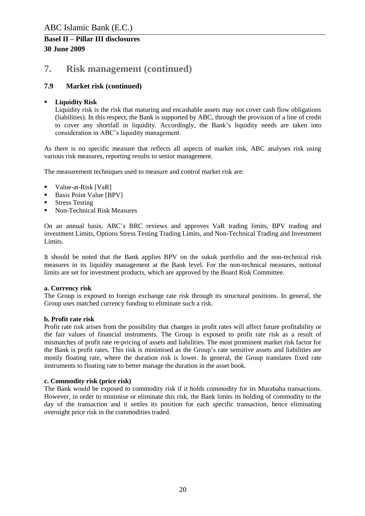### **7. Risk management (continued)**

### **7.9 Market risk (continued)**

#### **Liquidity Risk**

Liquidity risk is the risk that maturing and encashable assets may not cover cash flow obligations (liabilities). In this respect, the Bank is supported by ABC, through the provision of a line of credit to cover any shortfall in liquidity. Accordingly, the Bank's liquidity needs are taken into consideration in ABC's liquidity management.

As there is no specific measure that reflects all aspects of market risk, ABC analyses risk using various risk measures, reporting results to senior management.

The measurement techniques used to measure and control market risk are:

- **Value-at-Risk [VaR]**
- Basis Point Value [BPV]
- Stress Testing
- Non-Technical Risk Measures

On an annual basis, ABC's BRC reviews and approves VaR trading limits, BPV trading and investment Limits, Options Stress Testing Trading Limits, and Non-Technical Trading and Investment Limits.

It should be noted that the Bank applies BPV on the sukuk portfolio and the non-technical risk measures in its liquidity management at the Bank level. For the non-technical measures, notional limits are set for investment products, which are approved by the Board Risk Committee.

#### **a. Currency risk**

The Group is exposed to foreign exchange rate risk through its structural positions. In general, the Group uses matched currency funding to eliminate such a risk.

#### **b. Profit rate risk**

Profit rate risk arises from the possibility that changes in profit rates will affect future profitability or the fair values of financial instruments. The Group is exposed to profit rate risk as a result of mismatches of profit rate re-pricing of assets and liabilities. The most prominent market risk factor for the Bank is profit rates. This risk is minimised as the Group's rate sensitive assets and liabilities are mostly floating rate, where the duration risk is lower. In general, the Group translates fixed rate instruments to floating rate to better manage the duration in the asset book.

#### **c. Commodity risk (price risk)**

The Bank would be exposed to commodity risk if it holds commodity for its Murabaha transactions. However, in order to minimise or eliminate this risk, the Bank limits its holding of commodity to the day of the transaction and it settles its position for each specific transaction, hence eliminating overnight price risk in the commodities traded.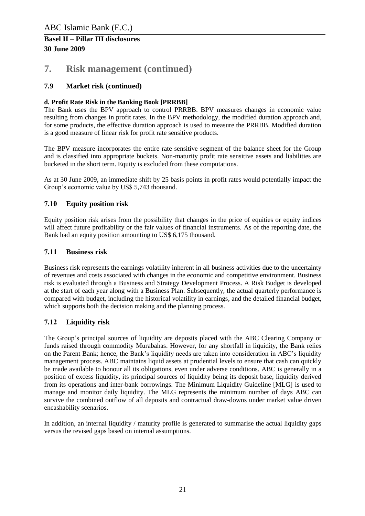### **7. Risk management (continued)**

### **7.9 Market risk (continued)**

#### **d. Profit Rate Risk in the Banking Book [PRRBB]**

The Bank uses the BPV approach to control PRRBB. BPV measures changes in economic value resulting from changes in profit rates. In the BPV methodology, the modified duration approach and, for some products, the effective duration approach is used to measure the PRRBB. Modified duration is a good measure of linear risk for profit rate sensitive products.

The BPV measure incorporates the entire rate sensitive segment of the balance sheet for the Group and is classified into appropriate buckets. Non-maturity profit rate sensitive assets and liabilities are bucketed in the short term. Equity is excluded from these computations.

As at 30 June 2009, an immediate shift by 25 basis points in profit rates would potentially impact the Group's economic value by US\$ 5,743 thousand.

### <span id="page-20-0"></span>**7.10 Equity position risk**

Equity position risk arises from the possibility that changes in the price of equities or equity indices will affect future profitability or the fair values of financial instruments. As of the reporting date, the Bank had an equity position amounting to US\$ 6,175 thousand.

#### <span id="page-20-1"></span>**7.11 Business risk**

Business risk represents the earnings volatility inherent in all business activities due to the uncertainty of revenues and costs associated with changes in the economic and competitive environment. Business risk is evaluated through a Business and Strategy Development Process. A Risk Budget is developed at the start of each year along with a Business Plan. Subsequently, the actual quarterly performance is compared with budget, including the historical volatility in earnings, and the detailed financial budget, which supports both the decision making and the planning process.

### <span id="page-20-2"></span>**7.12 Liquidity risk**

The Group's principal sources of liquidity are deposits placed with the ABC Clearing Company or funds raised through commodity Murabahas. However, for any shortfall in liquidity, the Bank relies on the Parent Bank; hence, the Bank's liquidity needs are taken into consideration in ABC's liquidity management process. ABC maintains liquid assets at prudential levels to ensure that cash can quickly be made available to honour all its obligations, even under adverse conditions. ABC is generally in a position of excess liquidity, its principal sources of liquidity being its deposit base, liquidity derived from its operations and inter-bank borrowings. The Minimum Liquidity Guideline [MLG] is used to manage and monitor daily liquidity. The MLG represents the minimum number of days ABC can survive the combined outflow of all deposits and contractual draw-downs under market value driven encashability scenarios.

In addition, an internal liquidity / maturity profile is generated to summarise the actual liquidity gaps versus the revised gaps based on internal assumptions.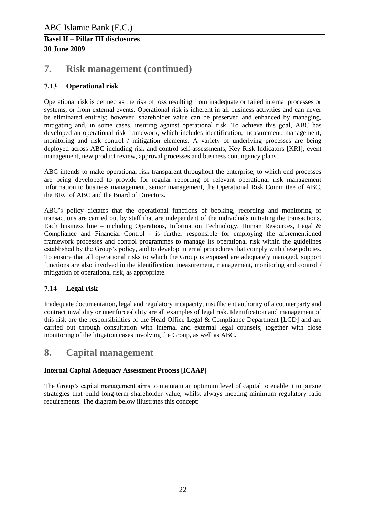### **7. Risk management (continued)**

### <span id="page-21-0"></span>**7.13 Operational risk**

Operational risk is defined as the risk of loss resulting from inadequate or failed internal processes or systems, or from external events. Operational risk is inherent in all business activities and can never be eliminated entirely; however, shareholder value can be preserved and enhanced by managing, mitigating and, in some cases, insuring against operational risk. To achieve this goal, ABC has developed an operational risk framework, which includes identification, measurement, management, monitoring and risk control / mitigation elements. A variety of underlying processes are being deployed across ABC including risk and control self-assessments, Key Risk Indicators [KRI], event management, new product review, approval processes and business contingency plans.

ABC intends to make operational risk transparent throughout the enterprise, to which end processes are being developed to provide for regular reporting of relevant operational risk management information to business management, senior management, the Operational Risk Committee of ABC, the BRC of ABC and the Board of Directors.

ABC's policy dictates that the operational functions of booking, recording and monitoring of transactions are carried out by staff that are independent of the individuals initiating the transactions. Each business line – including Operations, Information Technology, Human Resources, Legal  $\&$ Compliance and Financial Control - is further responsible for employing the aforementioned framework processes and control programmes to manage its operational risk within the guidelines established by the Group's policy, and to develop internal procedures that comply with these policies. To ensure that all operational risks to which the Group is exposed are adequately managed, support functions are also involved in the identification, measurement, management, monitoring and control / mitigation of operational risk, as appropriate.

### <span id="page-21-1"></span>**7.14 Legal risk**

Inadequate documentation, legal and regulatory incapacity, insufficient authority of a counterparty and contract invalidity or unenforceability are all examples of legal risk. Identification and management of this risk are the responsibilities of the Head Office Legal & Compliance Department [LCD] and are carried out through consultation with internal and external legal counsels, together with close monitoring of the litigation cases involving the Group, as well as ABC.

### <span id="page-21-2"></span>**8. Capital management**

### **Internal Capital Adequacy Assessment Process [ICAAP]**

The Group's capital management aims to maintain an optimum level of capital to enable it to pursue strategies that build long-term shareholder value, whilst always meeting minimum regulatory ratio requirements. The diagram below illustrates this concept: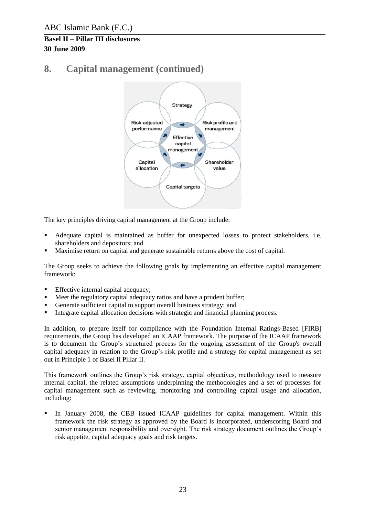# **8. Capital management (continued)**



The key principles driving capital management at the Group include:

- Adequate capital is maintained as buffer for unexpected losses to protect stakeholders, i.e. shareholders and depositors; and
- Maximise return on capital and generate sustainable returns above the cost of capital.

The Group seeks to achieve the following goals by implementing an effective capital management framework:

- **Effective internal capital adequacy;**
- Meet the regulatory capital adequacy ratios and have a prudent buffer;
- Generate sufficient capital to support overall business strategy; and
- Integrate capital allocation decisions with strategic and financial planning process.

In addition, to prepare itself for compliance with the Foundation Internal Ratings-Based [FIRB] requirements, the Group has developed an ICAAP framework. The purpose of the ICAAP framework is to document the Group's structured process for the ongoing assessment of the Group's overall capital adequacy in relation to the Group's risk profile and a strategy for capital management as set out in Principle 1 of Basel II Pillar II.

This framework outlines the Group's risk strategy, capital objectives, methodology used to measure internal capital, the related assumptions underpinning the methodologies and a set of processes for capital management such as reviewing, monitoring and controlling capital usage and allocation, including:

 In January 2008, the CBB issued ICAAP guidelines for capital management. Within this framework the risk strategy as approved by the Board is incorporated, underscoring Board and senior management responsibility and oversight. The risk strategy document outlines the Group's risk appetite, capital adequacy goals and risk targets.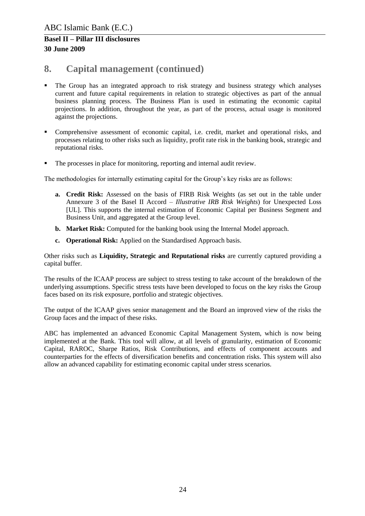### **8. Capital management (continued)**

- The Group has an integrated approach to risk strategy and business strategy which analyses current and future capital requirements in relation to strategic objectives as part of the annual business planning process. The Business Plan is used in estimating the economic capital projections. In addition, throughout the year, as part of the process, actual usage is monitored against the projections.
- Comprehensive assessment of economic capital, i.e. credit, market and operational risks, and processes relating to other risks such as liquidity, profit rate risk in the banking book, strategic and reputational risks.
- The processes in place for monitoring, reporting and internal audit review.

The methodologies for internally estimating capital for the Group's key risks are as follows:

- **a. Credit Risk:** Assessed on the basis of FIRB Risk Weights (as set out in the table under Annexure 3 of the Basel II Accord – *Illustrative IRB Risk Weights*) for Unexpected Loss [UL]. This supports the internal estimation of Economic Capital per Business Segment and Business Unit, and aggregated at the Group level.
- **b. Market Risk:** Computed for the banking book using the Internal Model approach.
- **c. Operational Risk:** Applied on the Standardised Approach basis.

Other risks such as **Liquidity, Strategic and Reputational risks** are currently captured providing a capital buffer.

The results of the ICAAP process are subject to stress testing to take account of the breakdown of the underlying assumptions. Specific stress tests have been developed to focus on the key risks the Group faces based on its risk exposure, portfolio and strategic objectives.

The output of the ICAAP gives senior management and the Board an improved view of the risks the Group faces and the impact of these risks.

ABC has implemented an advanced Economic Capital Management System, which is now being implemented at the Bank. This tool will allow, at all levels of granularity, estimation of Economic Capital, RAROC, Sharpe Ratios, Risk Contributions, and effects of component accounts and counterparties for the effects of diversification benefits and concentration risks. This system will also allow an advanced capability for estimating economic capital under stress scenarios.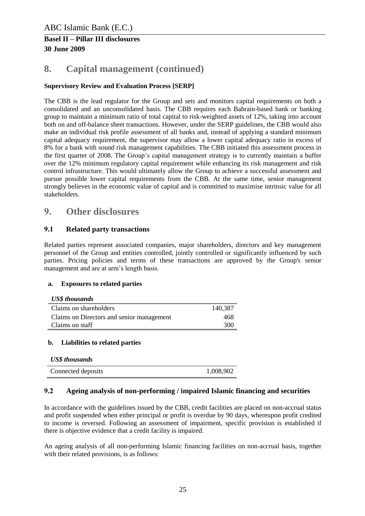# **8. Capital management (continued)**

### **Supervisory Review and Evaluation Process [SERP]**

The CBB is the lead regulator for the Group and sets and monitors capital requirements on both a consolidated and an unconsolidated basis. The CBB requires each Bahrain-based bank or banking group to maintain a minimum ratio of total capital to risk-weighted assets of 12%, taking into account both on and off-balance sheet transactions. However, under the SERP guidelines, the CBB would also make an individual risk profile assessment of all banks and, instead of applying a standard minimum capital adequacy requirement, the supervisor may allow a lower capital adequacy ratio in excess of 8% for a bank with sound risk management capabilities. The CBB initiated this assessment process in the first quarter of 2008. The Group's capital management strategy is to currently maintain a buffer over the 12% minimum regulatory capital requirement while enhancing its risk management and risk control infrastructure. This would ultimately allow the Group to achieve a successful assessment and pursue possible lower capital requirements from the CBB. At the same time, senior management strongly believes in the economic value of capital and is committed to maximise intrinsic value for all stakeholders.

### <span id="page-24-0"></span>**9. Other disclosures**

### <span id="page-24-1"></span>**9.1 Related party transactions**

Related parties represent associated companies, major shareholders, directors and key management personnel of the Group and entities controlled, jointly controlled or significantly influenced by such parties. Pricing policies and terms of these transactions are approved by the Group's senior management and are at arm's length basis.

#### **a. Exposures to related parties**

| <b>US\$</b> thousands                     |         |
|-------------------------------------------|---------|
| Claims on shareholders                    | 140,387 |
| Claims on Directors and senior management | 468     |
| Claims on staff                           | 300     |

#### **b. Liabilities to related parties**

| <b>US\$</b> thousands |           |
|-----------------------|-----------|
| Connected deposits    | 1,008,902 |

#### <span id="page-24-2"></span>**9.2 Ageing analysis of non-performing / impaired Islamic financing and securities**

In accordance with the guidelines issued by the CBB, credit facilities are placed on non-accrual status and profit suspended when either principal or profit is overdue by 90 days, whereupon profit credited to income is reversed. Following an assessment of impairment, specific provision is established if there is objective evidence that a credit facility is impaired.

An ageing analysis of all non-performing Islamic financing facilities on non-accrual basis, together with their related provisions, is as follows: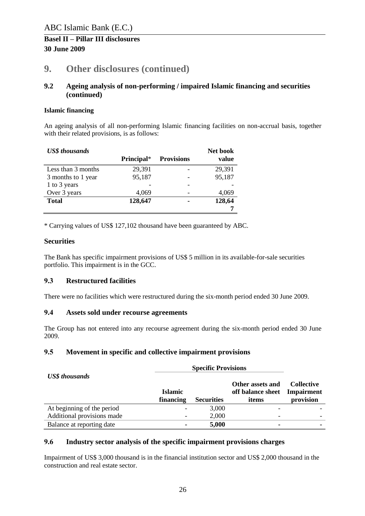# **9. Other disclosures (continued)**

#### **9.2 Ageing analysis of non-performing / impaired Islamic financing and securities (continued)**

#### **Islamic financing**

An ageing analysis of all non-performing Islamic financing facilities on non-accrual basis, together with their related provisions, is as follows:

| <b>US\$</b> thousands |            |                   | Net book |
|-----------------------|------------|-------------------|----------|
|                       | Principal* | <b>Provisions</b> | value    |
| Less than 3 months    | 29,391     |                   | 29,391   |
| 3 months to 1 year    | 95,187     |                   | 95,187   |
| 1 to 3 years          |            |                   |          |
| Over 3 years          | 4,069      |                   | 4,069    |
| <b>Total</b>          | 128,647    |                   | 128,64   |
|                       |            |                   |          |

\* Carrying values of US\$ 127,102 thousand have been guaranteed by ABC.

### **Securities**

The Bank has specific impairment provisions of US\$ 5 million in its available-for-sale securities portfolio. This impairment is in the GCC.

### <span id="page-25-0"></span>**9.3 Restructured facilities**

There were no facilities which were restructured during the six-month period ended 30 June 2009.

#### <span id="page-25-1"></span>**9.4 Assets sold under recourse agreements**

The Group has not entered into any recourse agreement during the six-month period ended 30 June 2009.

### <span id="page-25-2"></span>**9.5 Movement in specific and collective impairment provisions**

| <b>US\$</b> thousands      | <b>Islamic</b><br>financing<br><b>Securities</b> |       | Other assets and<br>off balance sheet<br>items | <b>Collective</b><br><b>Impairment</b><br>provision |  |
|----------------------------|--------------------------------------------------|-------|------------------------------------------------|-----------------------------------------------------|--|
| At beginning of the period |                                                  | 3,000 |                                                |                                                     |  |
| Additional provisions made |                                                  | 2,000 | $\overline{\phantom{a}}$                       |                                                     |  |
| Balance at reporting date  |                                                  | 5,000 | ۰                                              |                                                     |  |

#### <span id="page-25-3"></span>**9.6 Industry sector analysis of the specific impairment provisions charges**

Impairment of US\$ 3,000 thousand is in the financial institution sector and US\$ 2,000 thousand in the construction and real estate sector.